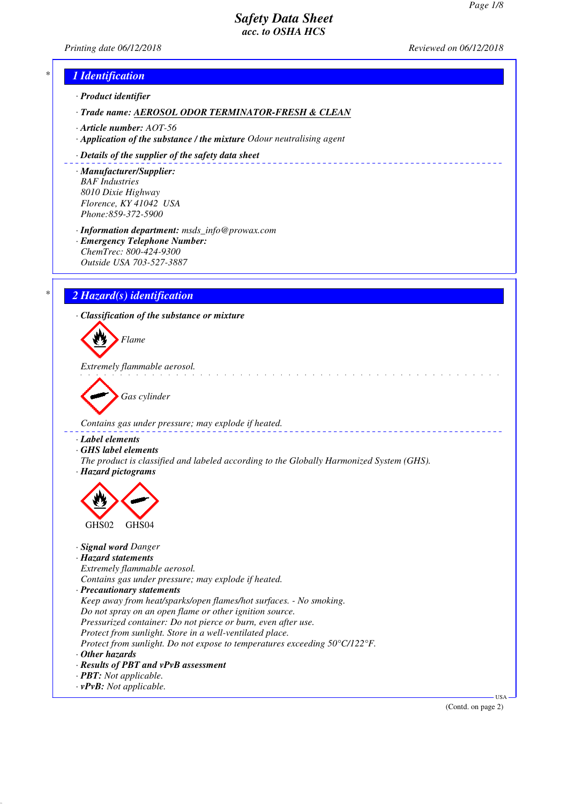*Printing date 06/12/2018 Reviewed on 06/12/2018*



(Contd. on page 2)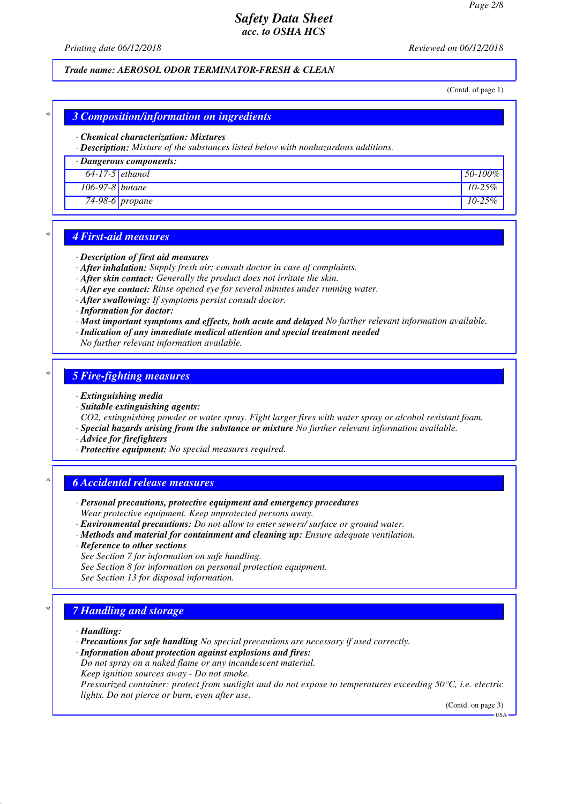*Printing date 06/12/2018 Reviewed on 06/12/2018*

### *Trade name: AEROSOL ODOR TERMINATOR-FRESH & CLEAN*

(Contd. of page 1)

## *\* 3 Composition/information on ingredients*

#### *· Chemical characterization: Mixtures*

*· Description: Mixture of the substances listed below with nonhazardous additions.*

#### *· Dangerous components:*

| $64-17-5$ ethanol |                 | 50-100%    |
|-------------------|-----------------|------------|
| 106-97-8 butane   |                 | $10 - 25%$ |
|                   | 74-98-6 propane | $10 - 25%$ |

### *\* 4 First-aid measures*

#### *· Description of first aid measures*

*· After inhalation: Supply fresh air; consult doctor in case of complaints.*

- *· After skin contact: Generally the product does not irritate the skin.*
- *· After eye contact: Rinse opened eye for several minutes under running water.*
- *· After swallowing: If symptoms persist consult doctor.*
- *· Information for doctor:*
- *· Most important symptoms and effects, both acute and delayed No further relevant information available.*
- *· Indication of any immediate medical attention and special treatment needed*
- *No further relevant information available.*

#### *\* 5 Fire-fighting measures*

#### *· Extinguishing media*

- *· Suitable extinguishing agents:*
- *CO2, extinguishing powder or water spray. Fight larger fires with water spray or alcohol resistant foam. · Special hazards arising from the substance or mixture No further relevant information available.*
- *· Advice for firefighters*
- *· Protective equipment: No special measures required.*

#### *\* 6 Accidental release measures*

- *· Personal precautions, protective equipment and emergency procedures Wear protective equipment. Keep unprotected persons away.*
- *· Environmental precautions: Do not allow to enter sewers/ surface or ground water.*
- *· Methods and material for containment and cleaning up: Ensure adequate ventilation.*
- *· Reference to other sections*
- *See Section 7 for information on safe handling.*
- *See Section 8 for information on personal protection equipment.*
- *See Section 13 for disposal information.*

## *\* 7 Handling and storage*

- *· Handling:*
- *· Precautions for safe handling No special precautions are necessary if used correctly.*

*· Information about protection against explosions and fires:*

- *Do not spray on a naked flame or any incandescent material.*
- *Keep ignition sources away Do not smoke.*

*Pressurized container: protect from sunlight and do not expose to temperatures exceeding 50°C, i.e. electric lights. Do not pierce or burn, even after use.*

(Contd. on page 3)

USA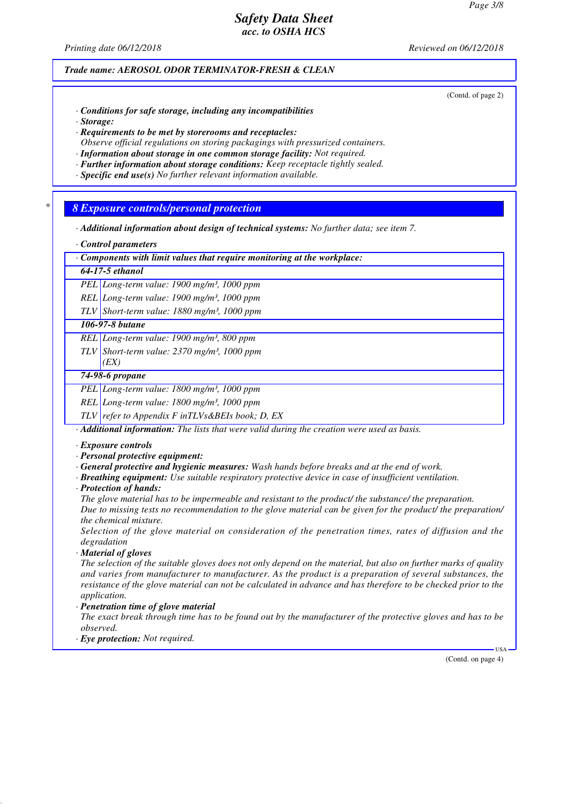*Printing date 06/12/2018 Reviewed on 06/12/2018*

*Trade name: AEROSOL ODOR TERMINATOR-FRESH & CLEAN*

(Contd. of page 2)

- *· Conditions for safe storage, including any incompatibilities*
- *· Storage:*
- *· Requirements to be met by storerooms and receptacles: Observe official regulations on storing packagings with pressurized containers.*
- *· Information about storage in one common storage facility: Not required.*
- *· Further information about storage conditions: Keep receptacle tightly sealed.*
- *· Specific end use(s) No further relevant information available.*

*\* 8 Exposure controls/personal protection*

- *· Additional information about design of technical systems: No further data; see item 7.*
- *· Control parameters*

*· Components with limit values that require monitoring at the workplace:*

### *64-17-5 ethanol*

*PEL Long-term value: 1900 mg/m³, 1000 ppm*

*REL Long-term value: 1900 mg/m³, 1000 ppm*

*TLV Short-term value: 1880 mg/m³, 1000 ppm*

## *106-97-8 butane*

*REL Long-term value: 1900 mg/m³, 800 ppm*

*TLV Short-term value: 2370 mg/m³, 1000 ppm*

## *(EX) 74-98-6 propane*

*PEL Long-term value: 1800 mg/m³, 1000 ppm*

*REL Long-term value: 1800 mg/m³, 1000 ppm*

*TLV refer to Appendix F inTLVs&BEIs book; D, EX*

*· Additional information: The lists that were valid during the creation were used as basis.*

- *· Exposure controls*
- *· Personal protective equipment:*
- *· General protective and hygienic measures: Wash hands before breaks and at the end of work.*
- *· Breathing equipment: Use suitable respiratory protective device in case of insufficient ventilation.*
- *· Protection of hands:*

*The glove material has to be impermeable and resistant to the product/ the substance/ the preparation. Due to missing tests no recommendation to the glove material can be given for the product/ the preparation/ the chemical mixture.*

*Selection of the glove material on consideration of the penetration times, rates of diffusion and the degradation*

*· Material of gloves*

*The selection of the suitable gloves does not only depend on the material, but also on further marks of quality and varies from manufacturer to manufacturer. As the product is a preparation of several substances, the resistance of the glove material can not be calculated in advance and has therefore to be checked prior to the application.*

*· Penetration time of glove material*

*The exact break through time has to be found out by the manufacturer of the protective gloves and has to be observed.*

*· Eye protection: Not required.*

(Contd. on page 4)

USA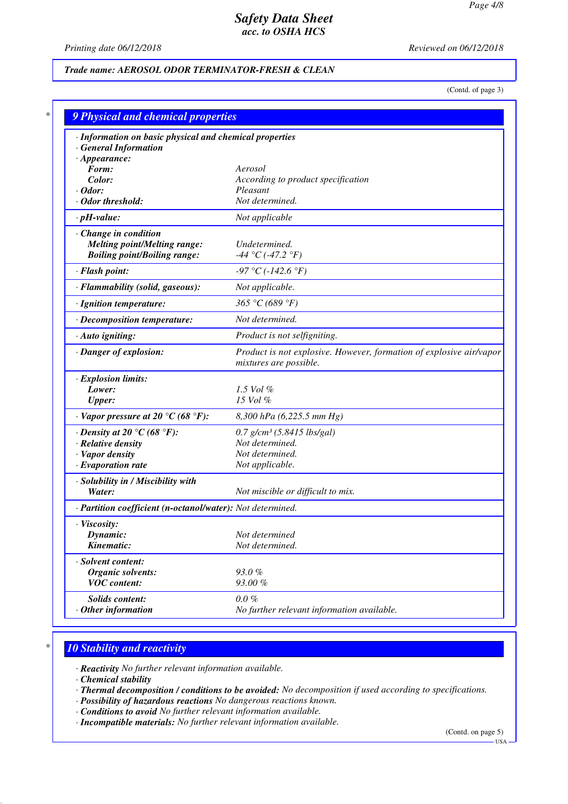*Printing date 06/12/2018 Reviewed on 06/12/2018*

## *Trade name: AEROSOL ODOR TERMINATOR-FRESH & CLEAN*

(Contd. of page 3)

| · Information on basic physical and chemical properties    |                                                                                               |
|------------------------------------------------------------|-----------------------------------------------------------------------------------------------|
| <b>General Information</b>                                 |                                                                                               |
| $\cdot$ Appearance:                                        |                                                                                               |
| Form:                                                      | Aerosol                                                                                       |
| Color:                                                     | According to product specification                                                            |
| $\cdot$ Odor:                                              | Pleasant                                                                                      |
| $\cdot$ Odor threshold:                                    | Not determined.                                                                               |
| $\cdot$ pH-value:                                          | Not applicable                                                                                |
| Change in condition                                        |                                                                                               |
| <b>Melting point/Melting range:</b>                        | Undetermined.                                                                                 |
| <b>Boiling point/Boiling range:</b>                        | -44 °C (-47.2 °F)                                                                             |
| · Flash point:                                             | $-97 \degree C (-142.6 \degree F)$                                                            |
| · Flammability (solid, gaseous):                           | Not applicable.                                                                               |
| · Ignition temperature:                                    | 365 °C (689 °F)                                                                               |
| · Decomposition temperature:                               | Not determined.                                                                               |
| · Auto igniting:                                           | Product is not selfigniting.                                                                  |
| · Danger of explosion:                                     | Product is not explosive. However, formation of explosive air/vapor<br>mixtures are possible. |
| · Explosion limits:                                        |                                                                                               |
| Lower:                                                     | 1.5 Vol $\%$                                                                                  |
| <b>Upper:</b>                                              | 15 Vol %                                                                                      |
| $\cdot$ Vapor pressure at 20 °C (68 °F):                   | 8,300 hPa (6,225.5 mm Hg)                                                                     |
| $\cdot$ Density at 20 °C (68 °F):                          | $0.7$ g/cm <sup>3</sup> (5.8415 lbs/gal)                                                      |
| · Relative density                                         | Not determined.                                                                               |
| · Vapor density                                            | Not determined.                                                                               |
| $\cdot$ Evaporation rate                                   | Not applicable.                                                                               |
| · Solubility in / Miscibility with                         |                                                                                               |
| Water:                                                     | Not miscible or difficult to mix.                                                             |
| · Partition coefficient (n-octanol/water): Not determined. |                                                                                               |
| · Viscosity:                                               |                                                                                               |
| Dynamic:                                                   | Not determined                                                                                |
| Kinematic:                                                 | Not determined.                                                                               |
| · Solvent content:                                         |                                                                                               |
| <b>Organic solvents:</b>                                   | 93.0%                                                                                         |
| <b>VOC</b> content:                                        | 93.00%                                                                                        |
| Solids content:                                            | $0.0 \%$                                                                                      |
| $·$ Other information                                      | No further relevant information available.                                                    |

# *\* 10 Stability and reactivity*

*· Reactivity No further relevant information available.*

*· Chemical stability*

- *· Thermal decomposition / conditions to be avoided: No decomposition if used according to specifications.*
- *· Possibility of hazardous reactions No dangerous reactions known.*
- *· Conditions to avoid No further relevant information available.*

*· Incompatible materials: No further relevant information available.*

(Contd. on page 5)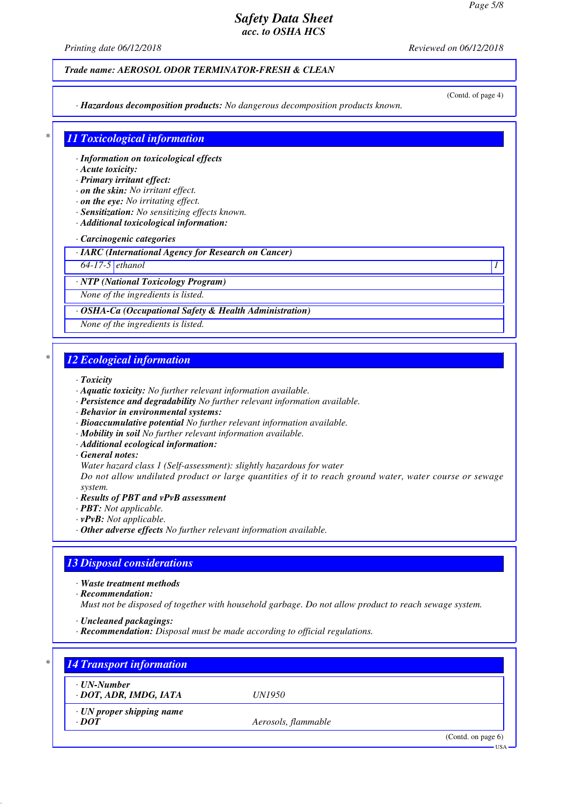*Printing date 06/12/2018 Reviewed on 06/12/2018*

### *Trade name: AEROSOL ODOR TERMINATOR-FRESH & CLEAN*

*· Hazardous decomposition products: No dangerous decomposition products known.*

(Contd. of page 4)

## *\* 11 Toxicological information*

*· Information on toxicological effects*

### *· Acute toxicity:*

*· Primary irritant effect:*

- *· on the skin: No irritant effect.*
- *· on the eye: No irritating effect.*
- *· Sensitization: No sensitizing effects known.*
- *· Additional toxicological information:*

#### *· Carcinogenic categories*

*· IARC (International Agency for Research on Cancer)*

*64-17-5 ethanol 1* 

*· NTP (National Toxicology Program)*

*None of the ingredients is listed.*

#### *· OSHA-Ca (Occupational Safety & Health Administration)*

*None of the ingredients is listed.*

## *\* 12 Ecological information*

#### *· Toxicity*

- *· Aquatic toxicity: No further relevant information available.*
- *· Persistence and degradability No further relevant information available.*
- *· Behavior in environmental systems:*
- *· Bioaccumulative potential No further relevant information available.*
- *· Mobility in soil No further relevant information available.*
- *· Additional ecological information:*

#### *· General notes:*

*Water hazard class 1 (Self-assessment): slightly hazardous for water*

*Do not allow undiluted product or large quantities of it to reach ground water, water course or sewage system.*

- *· Results of PBT and vPvB assessment*
- *· PBT: Not applicable.*
- *· vPvB: Not applicable.*
- *· Other adverse effects No further relevant information available.*

## *13 Disposal considerations*

- *· Waste treatment methods*
- *· Recommendation:*

*Must not be disposed of together with household garbage. Do not allow product to reach sewage system.*

- *· Uncleaned packagings:*
- *· Recommendation: Disposal must be made according to official regulations.*

| ⋅ UN-Number                     |                     |  |
|---------------------------------|---------------------|--|
| · DOT, ADR, IMDG, IATA          | <i>UN1950</i>       |  |
| $\cdot$ UN proper shipping name |                     |  |
| $\cdot$ DOT                     | Aerosols, flammable |  |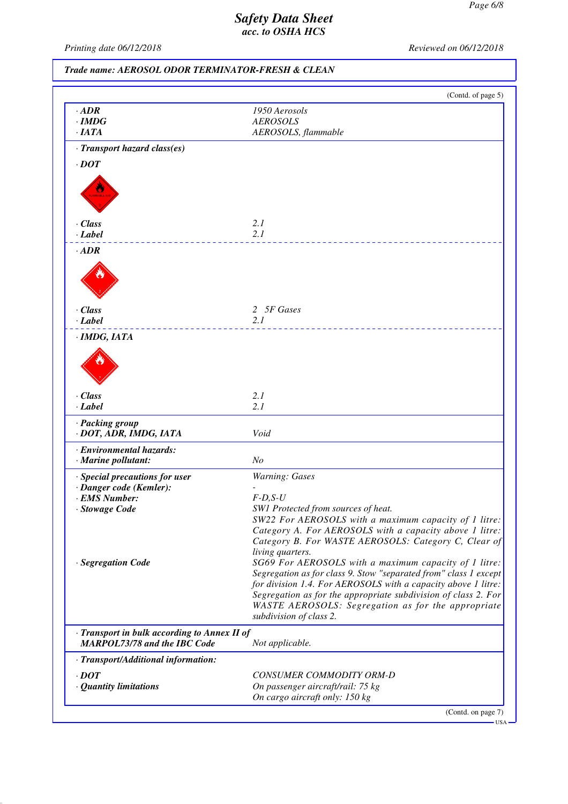USA

# *Safety Data Sheet acc. to OSHA HCS*

*Printing date 06/12/2018 Reviewed on 06/12/2018*

*Trade name: AEROSOL ODOR TERMINATOR-FRESH & CLEAN*

|                                                                                     | (Contd. of page 5)                                                                                                                                                                                                                                           |
|-------------------------------------------------------------------------------------|--------------------------------------------------------------------------------------------------------------------------------------------------------------------------------------------------------------------------------------------------------------|
| $\cdot$ ADR                                                                         | 1950 Aerosols                                                                                                                                                                                                                                                |
| $\cdot$ IMDG                                                                        | <b>AEROSOLS</b>                                                                                                                                                                                                                                              |
| $\cdot$ IATA                                                                        | AEROSOLS, flammable                                                                                                                                                                                                                                          |
| · Transport hazard class(es)                                                        |                                                                                                                                                                                                                                                              |
| $\cdot$ DOT                                                                         |                                                                                                                                                                                                                                                              |
|                                                                                     |                                                                                                                                                                                                                                                              |
| · Class                                                                             | 2.1                                                                                                                                                                                                                                                          |
| · Label                                                                             | 2.1                                                                                                                                                                                                                                                          |
| $\cdot$ ADR                                                                         |                                                                                                                                                                                                                                                              |
|                                                                                     |                                                                                                                                                                                                                                                              |
| · Class                                                                             | 2 5F Gases                                                                                                                                                                                                                                                   |
| $\cdot$ Label                                                                       | 2.1                                                                                                                                                                                                                                                          |
|                                                                                     |                                                                                                                                                                                                                                                              |
| · Class                                                                             | 2.1                                                                                                                                                                                                                                                          |
| · Label                                                                             | 2.1                                                                                                                                                                                                                                                          |
| · Packing group<br>· DOT, ADR, IMDG, IATA                                           | Void                                                                                                                                                                                                                                                         |
| · Environmental hazards:                                                            |                                                                                                                                                                                                                                                              |
| · Marine pollutant:                                                                 | N <sub>o</sub>                                                                                                                                                                                                                                               |
| · Special precautions for user                                                      | Warning: Gases                                                                                                                                                                                                                                               |
| · Danger code (Kemler):                                                             |                                                                                                                                                                                                                                                              |
| · EMS Number:                                                                       | $F-D, S-U$                                                                                                                                                                                                                                                   |
| · Stowage Code                                                                      | SW1 Protected from sources of heat.                                                                                                                                                                                                                          |
|                                                                                     | SW22 For AEROSOLS with a maximum capacity of 1 litre:<br>Category A. For AEROSOLS with a capacity above 1 litre:<br>Category B. For WASTE AEROSOLS: Category C, Clear of<br>living quarters.                                                                 |
| · Segregation Code                                                                  | SG69 For AEROSOLS with a maximum capacity of 1 litre:<br>Segregation as for class 9. Stow "separated from" class 1 except<br>for division 1.4. For AEROSOLS with a capacity above 1 litre:<br>Segregation as for the appropriate subdivision of class 2. For |
|                                                                                     | WASTE AEROSOLS: Segregation as for the appropriate<br>subdivision of class 2.                                                                                                                                                                                |
| · Transport in bulk according to Annex II of<br><b>MARPOL73/78 and the IBC Code</b> | Not applicable.                                                                                                                                                                                                                                              |
| · Transport/Additional information:                                                 |                                                                                                                                                                                                                                                              |
|                                                                                     |                                                                                                                                                                                                                                                              |
|                                                                                     |                                                                                                                                                                                                                                                              |
| $\cdot$ <i>DOT</i><br>· Quantity limitations                                        | CONSUMER COMMODITY ORM-D<br>On passenger aircraft/rail: 75 kg                                                                                                                                                                                                |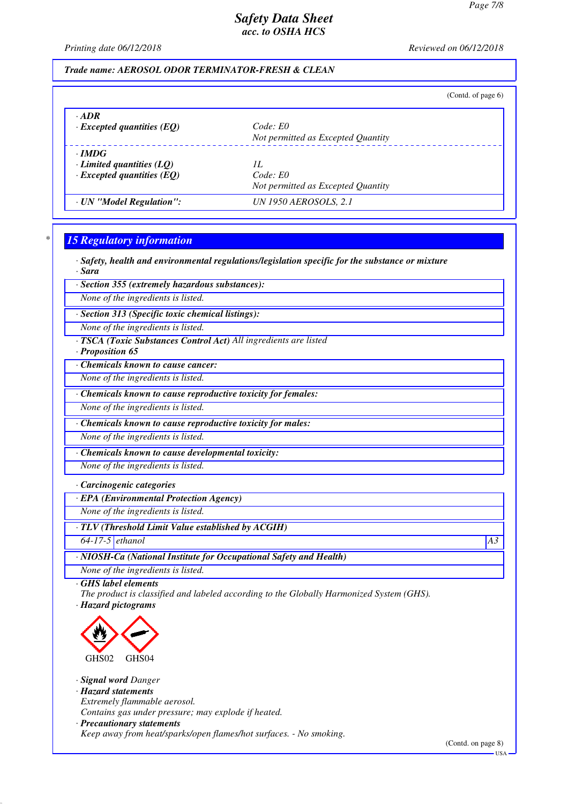*Printing date 06/12/2018 Reviewed on 06/12/2018*

## *Trade name: AEROSOL ODOR TERMINATOR-FRESH & CLEAN*

|                                  | (Contd. of page $6$ )              |
|----------------------------------|------------------------------------|
| $\cdot$ ADR                      | Code: E0                           |
| $\cdot$ Excepted quantities (EQ) | Not permitted as Excepted Quantity |
| $\cdot$ IMDG                     | H                                  |
| Limited quantities $(LQ)$        | Code: E0                           |
| $\cdot$ Excepted quantities (EQ) | Not permitted as Excepted Quantity |
| · UN "Model Regulation":         | UN 1950 AEROSOLS, 2.1              |

## *\* 15 Regulatory information*

*· Safety, health and environmental regulations/legislation specific for the substance or mixture*

*· Sara*

*· Section 355 (extremely hazardous substances):*

*None of the ingredients is listed.*

*· Section 313 (Specific toxic chemical listings):*

*None of the ingredients is listed.*

*· TSCA (Toxic Substances Control Act) All ingredients are listed*

*· Proposition 65*

*· Chemicals known to cause cancer:*

*None of the ingredients is listed.*

*· Chemicals known to cause reproductive toxicity for females:*

*None of the ingredients is listed.*

*· Chemicals known to cause reproductive toxicity for males:*

*None of the ingredients is listed.*

*· Chemicals known to cause developmental toxicity:*

*None of the ingredients is listed.*

*· Carcinogenic categories*

*· EPA (Environmental Protection Agency)*

*None of the ingredients is listed.*

*· TLV (Threshold Limit Value established by ACGIH)*

*64-17-5 ethanol A3*

*· NIOSH-Ca (National Institute for Occupational Safety and Health)*

*None of the ingredients is listed.*

*· GHS label elements*

*The product is classified and labeled according to the Globally Harmonized System (GHS). · Hazard pictograms*



*· Signal word Danger*

*· Hazard statements*

*Extremely flammable aerosol.*

*Contains gas under pressure; may explode if heated.*

*· Precautionary statements*

*Keep away from heat/sparks/open flames/hot surfaces. - No smoking.*

(Contd. on page 8)